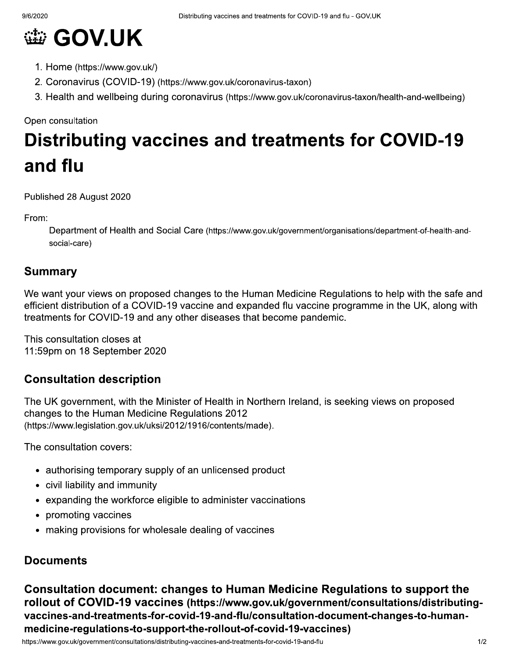

- 1. Home (https://www.gov.uk/)
- 2. Coronavirus (COVID-19) (https://www.gov.uk/coronavirus-taxon)
- 3. Health and wellbeing during coronavirus (https://www.gov.uk/coronavirus-taxon/health-and-wellbeing)

Open consultation

# **Distributing vaccines and treatments for COVID-19** and flu

Published 28 August 2020

From:

Department of Health and Social Care (https://www.gov.uk/government/organisations/department-of-health-andsocial-care)

#### **Summary**

We want your views on proposed changes to the Human Medicine Regulations to help with the safe and efficient distribution of a COVID-19 vaccine and expanded flu vaccine programme in the UK, along with treatments for COVID-19 and any other diseases that become pandemic.

This consultation closes at 11:59pm on 18 September 2020

#### **Consultation description**

The UK government, with the Minister of Health in Northern Ireland, is seeking views on proposed changes to the Human Medicine Regulations 2012 (https://www.legislation.gov.uk/uksi/2012/1916/contents/made).

The consultation covers:

- authorising temporary supply of an unlicensed product
- civil liability and immunity
- expanding the workforce eligible to administer vaccinations
- promoting vaccines
- making provisions for wholesale dealing of vaccines

#### **Documents**

Consultation document: changes to Human Medicine Regulations to support the rollout of COVID-19 vaccines (https://www.gov.uk/government/consultations/distributingvaccines-and-treatments-for-covid-19-and-flu/consultation-document-changes-to-humanmedicine-regulations-to-support-the-rollout-of-covid-19-vaccines)